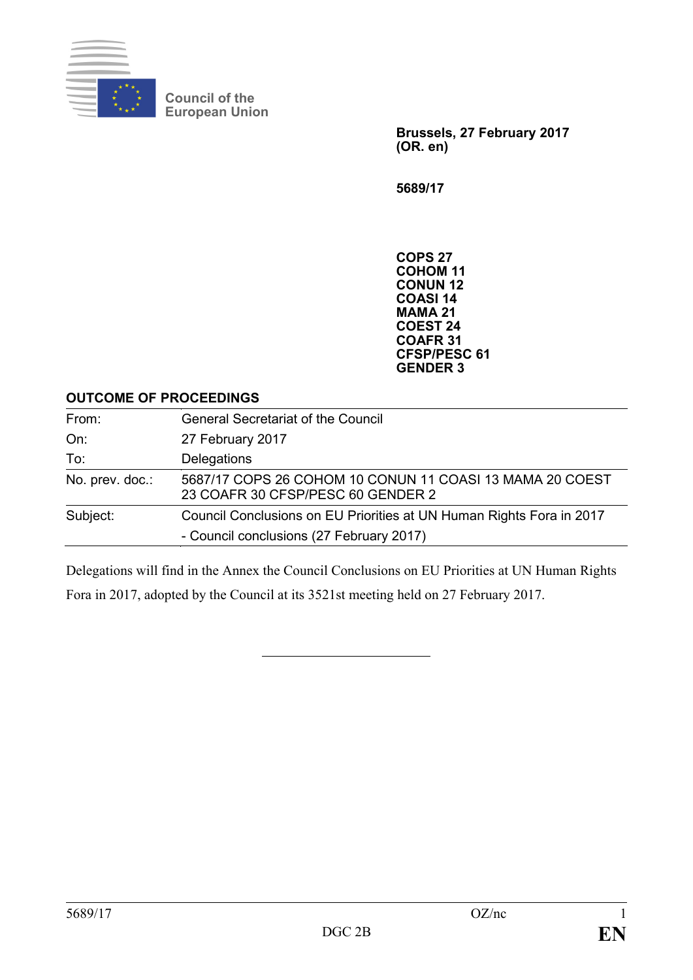

**Council of the European Union**

> **Brussels, 27 February 2017 (OR. en)**

**5689/17**

**COPS 27 COHOM 11 CONUN 12 COASI 14 MAMA 21 COEST 24 COAFR 31 CFSP/PESC 61 GENDER 3**

## **OUTCOME OF PROCEEDINGS**

| From:           | <b>General Secretariat of the Council</b>                                                     |
|-----------------|-----------------------------------------------------------------------------------------------|
| On:             | 27 February 2017                                                                              |
| To:             | Delegations                                                                                   |
| No. prev. doc.: | 5687/17 COPS 26 COHOM 10 CONUN 11 COASI 13 MAMA 20 COEST<br>23 COAFR 30 CFSP/PESC 60 GENDER 2 |
| Subject:        | Council Conclusions on EU Priorities at UN Human Rights Fora in 2017                          |
|                 | - Council conclusions (27 February 2017)                                                      |

Delegations will find in the Annex the Council Conclusions on EU Priorities at UN Human Rights Fora in 2017, adopted by the Council at its 3521st meeting held on 27 February 2017.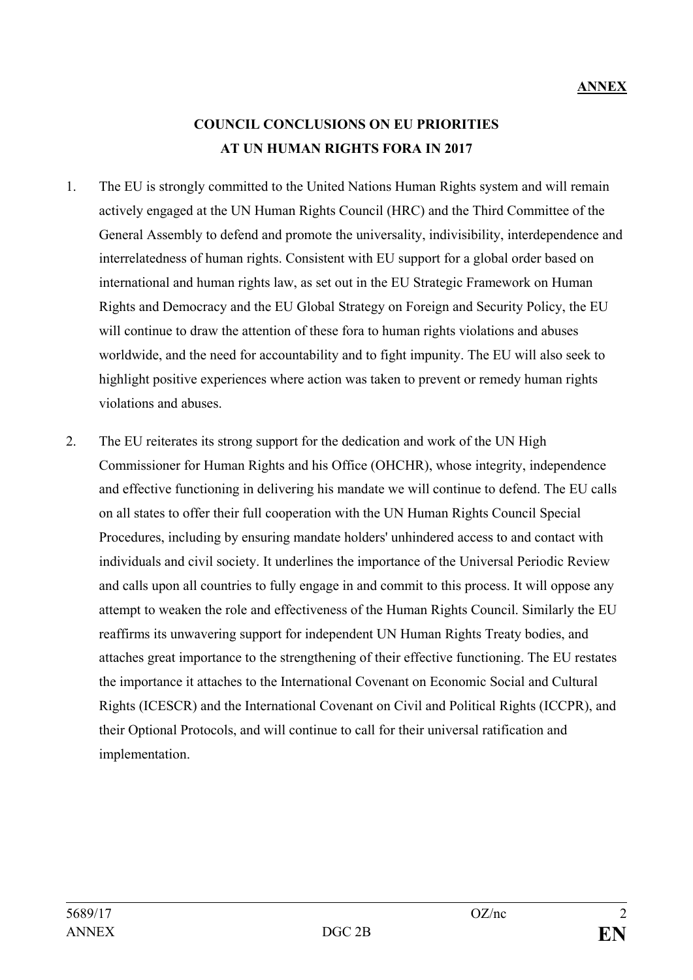## **COUNCIL CONCLUSIONS ON EU PRIORITIES AT UN HUMAN RIGHTS FORA IN 2017**

- 1. The EU is strongly committed to the United Nations Human Rights system and will remain actively engaged at the UN Human Rights Council (HRC) and the Third Committee of the General Assembly to defend and promote the universality, indivisibility, interdependence and interrelatedness of human rights. Consistent with EU support for a global order based on international and human rights law, as set out in the EU Strategic Framework on Human Rights and Democracy and the EU Global Strategy on Foreign and Security Policy, the EU will continue to draw the attention of these fora to human rights violations and abuses worldwide, and the need for accountability and to fight impunity. The EU will also seek to highlight positive experiences where action was taken to prevent or remedy human rights violations and abuses.
- 2. The EU reiterates its strong support for the dedication and work of the UN High Commissioner for Human Rights and his Office (OHCHR), whose integrity, independence and effective functioning in delivering his mandate we will continue to defend. The EU calls on all states to offer their full cooperation with the UN Human Rights Council Special Procedures, including by ensuring mandate holders' unhindered access to and contact with individuals and civil society. It underlines the importance of the Universal Periodic Review and calls upon all countries to fully engage in and commit to this process. It will oppose any attempt to weaken the role and effectiveness of the Human Rights Council. Similarly the EU reaffirms its unwavering support for independent UN Human Rights Treaty bodies, and attaches great importance to the strengthening of their effective functioning. The EU restates the importance it attaches to the International Covenant on Economic Social and Cultural Rights (ICESCR) and the International Covenant on Civil and Political Rights (ICCPR), and their Optional Protocols, and will continue to call for their universal ratification and implementation.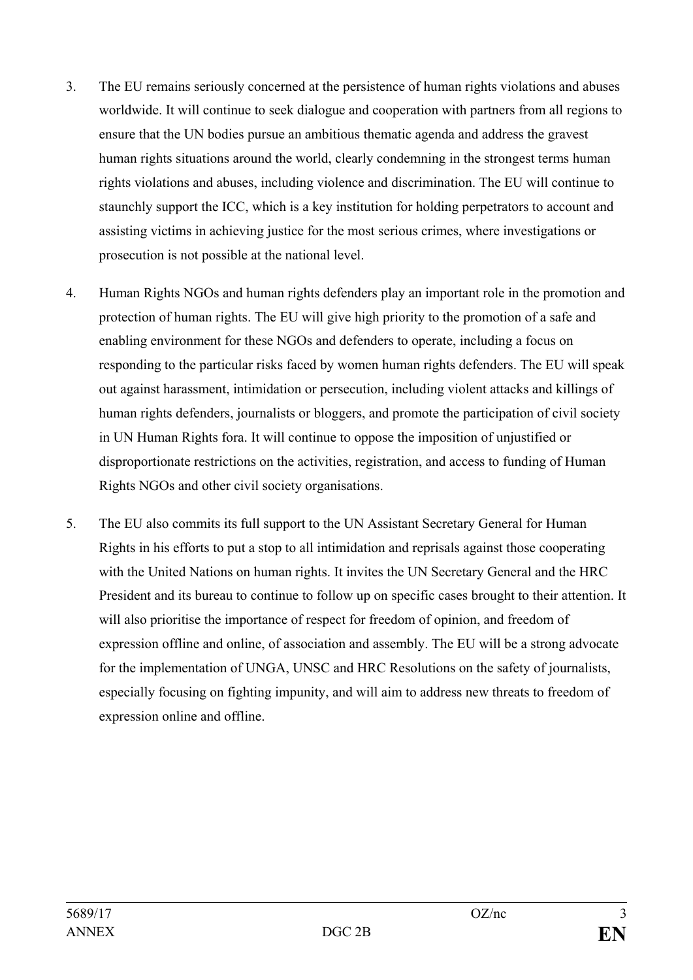- 3. The EU remains seriously concerned at the persistence of human rights violations and abuses worldwide. It will continue to seek dialogue and cooperation with partners from all regions to ensure that the UN bodies pursue an ambitious thematic agenda and address the gravest human rights situations around the world, clearly condemning in the strongest terms human rights violations and abuses, including violence and discrimination. The EU will continue to staunchly support the ICC, which is a key institution for holding perpetrators to account and assisting victims in achieving justice for the most serious crimes, where investigations or prosecution is not possible at the national level.
- 4. Human Rights NGOs and human rights defenders play an important role in the promotion and protection of human rights. The EU will give high priority to the promotion of a safe and enabling environment for these NGOs and defenders to operate, including a focus on responding to the particular risks faced by women human rights defenders. The EU will speak out against harassment, intimidation or persecution, including violent attacks and killings of human rights defenders, journalists or bloggers, and promote the participation of civil society in UN Human Rights fora. It will continue to oppose the imposition of unjustified or disproportionate restrictions on the activities, registration, and access to funding of Human Rights NGOs and other civil society organisations.
- 5. The EU also commits its full support to the UN Assistant Secretary General for Human Rights in his efforts to put a stop to all intimidation and reprisals against those cooperating with the United Nations on human rights. It invites the UN Secretary General and the HRC President and its bureau to continue to follow up on specific cases brought to their attention. It will also prioritise the importance of respect for freedom of opinion, and freedom of expression offline and online, of association and assembly. The EU will be a strong advocate for the implementation of UNGA, UNSC and HRC Resolutions on the safety of journalists, especially focusing on fighting impunity, and will aim to address new threats to freedom of expression online and offline.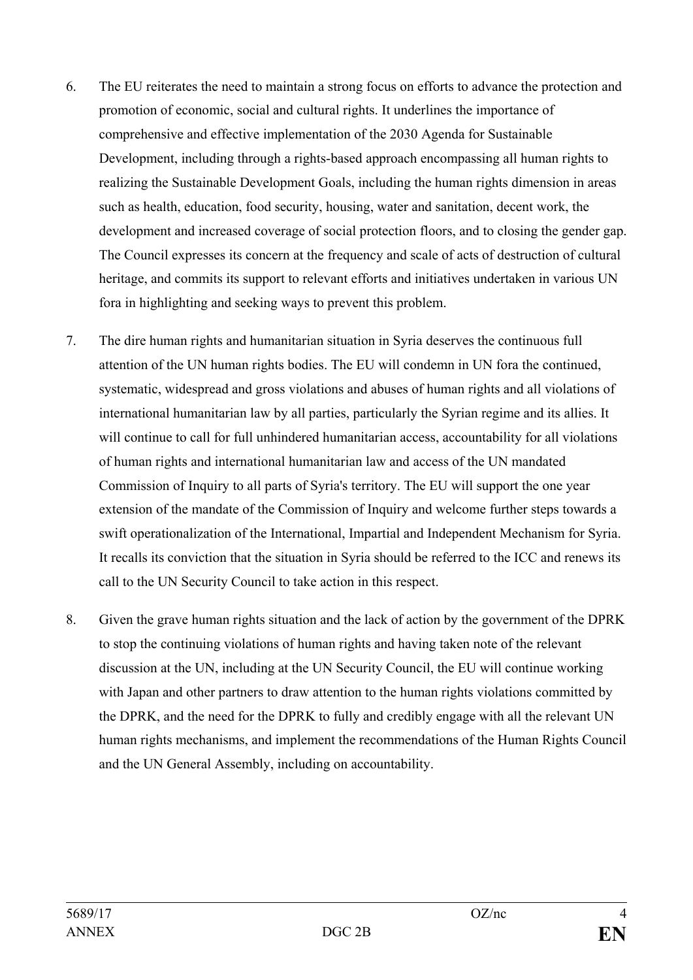- 6. The EU reiterates the need to maintain a strong focus on efforts to advance the protection and promotion of economic, social and cultural rights. It underlines the importance of comprehensive and effective implementation of the 2030 Agenda for Sustainable Development, including through a rights-based approach encompassing all human rights to realizing the Sustainable Development Goals, including the human rights dimension in areas such as health, education, food security, housing, water and sanitation, decent work, the development and increased coverage of social protection floors, and to closing the gender gap. The Council expresses its concern at the frequency and scale of acts of destruction of cultural heritage, and commits its support to relevant efforts and initiatives undertaken in various UN fora in highlighting and seeking ways to prevent this problem.
- 7. The dire human rights and humanitarian situation in Syria deserves the continuous full attention of the UN human rights bodies. The EU will condemn in UN fora the continued, systematic, widespread and gross violations and abuses of human rights and all violations of international humanitarian law by all parties, particularly the Syrian regime and its allies. It will continue to call for full unhindered humanitarian access, accountability for all violations of human rights and international humanitarian law and access of the UN mandated Commission of Inquiry to all parts of Syria's territory. The EU will support the one year extension of the mandate of the Commission of Inquiry and welcome further steps towards a swift operationalization of the International, Impartial and Independent Mechanism for Syria. It recalls its conviction that the situation in Syria should be referred to the ICC and renews its call to the UN Security Council to take action in this respect.
- 8. Given the grave human rights situation and the lack of action by the government of the DPRK to stop the continuing violations of human rights and having taken note of the relevant discussion at the UN, including at the UN Security Council, the EU will continue working with Japan and other partners to draw attention to the human rights violations committed by the DPRK, and the need for the DPRK to fully and credibly engage with all the relevant UN human rights mechanisms, and implement the recommendations of the Human Rights Council and the UN General Assembly, including on accountability.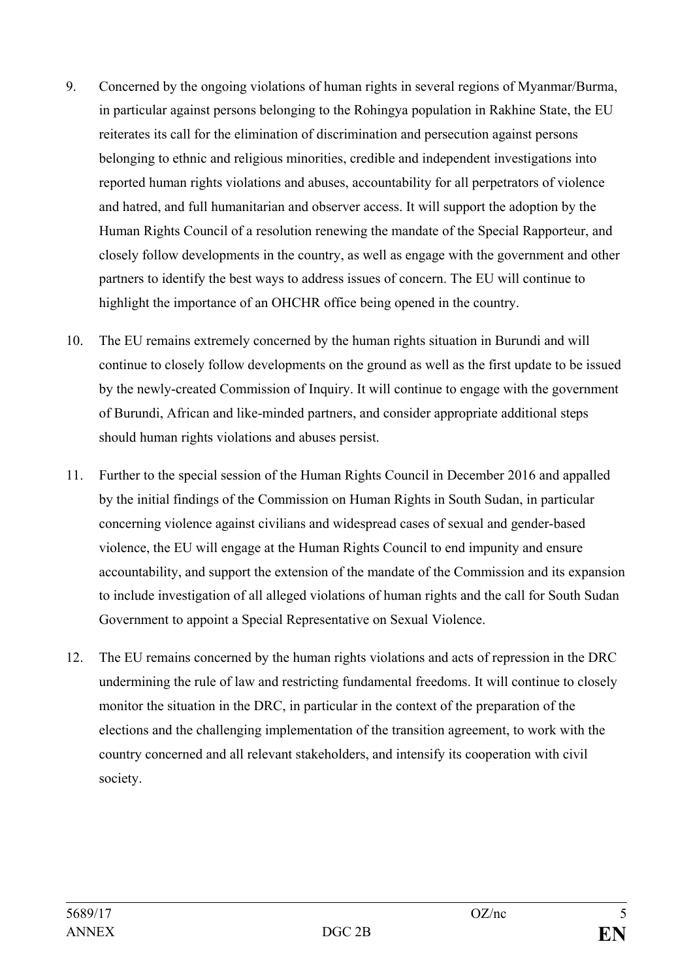- 9. Concerned by the ongoing violations of human rights in several regions of Myanmar/Burma, in particular against persons belonging to the Rohingya population in Rakhine State, the EU reiterates its call for the elimination of discrimination and persecution against persons belonging to ethnic and religious minorities, credible and independent investigations into reported human rights violations and abuses, accountability for all perpetrators of violence and hatred, and full humanitarian and observer access. It will support the adoption by the Human Rights Council of a resolution renewing the mandate of the Special Rapporteur, and closely follow developments in the country, as well as engage with the government and other partners to identify the best ways to address issues of concern. The EU will continue to highlight the importance of an OHCHR office being opened in the country.
- 10. The EU remains extremely concerned by the human rights situation in Burundi and will continue to closely follow developments on the ground as well as the first update to be issued by the newly-created Commission of Inquiry. It will continue to engage with the government of Burundi, African and like-minded partners, and consider appropriate additional steps should human rights violations and abuses persist.
- 11. Further to the special session of the Human Rights Council in December 2016 and appalled by the initial findings of the Commission on Human Rights in South Sudan, in particular concerning violence against civilians and widespread cases of sexual and gender-based violence, the EU will engage at the Human Rights Council to end impunity and ensure accountability, and support the extension of the mandate of the Commission and its expansion to include investigation of all alleged violations of human rights and the call for South Sudan Government to appoint a Special Representative on Sexual Violence.
- 12. The EU remains concerned by the human rights violations and acts of repression in the DRC undermining the rule of law and restricting fundamental freedoms. It will continue to closely monitor the situation in the DRC, in particular in the context of the preparation of the elections and the challenging implementation of the transition agreement, to work with the country concerned and all relevant stakeholders, and intensify its cooperation with civil society.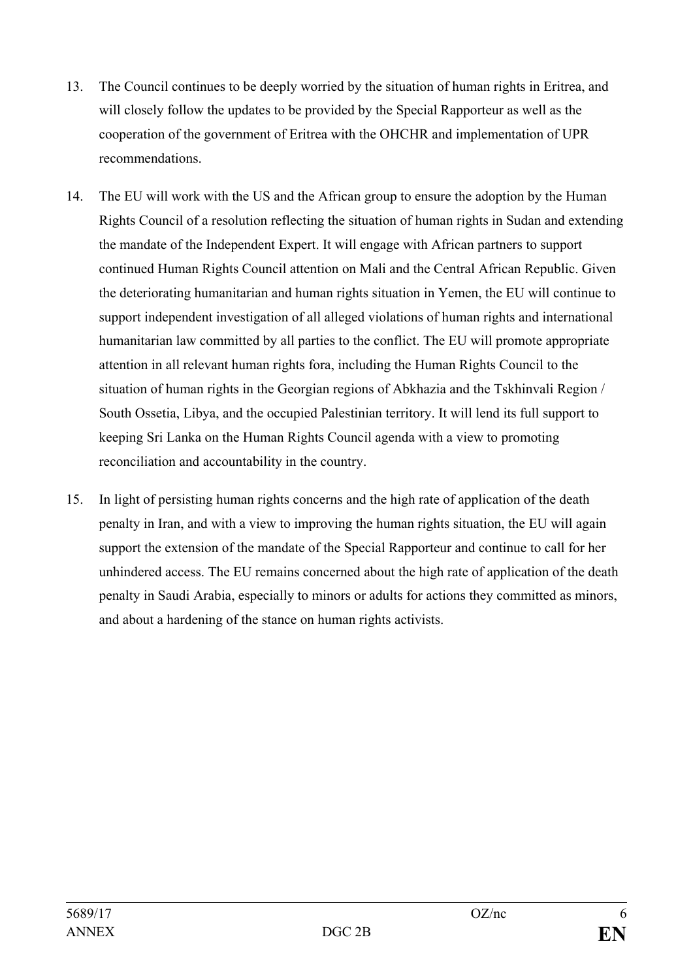- 13. The Council continues to be deeply worried by the situation of human rights in Eritrea, and will closely follow the updates to be provided by the Special Rapporteur as well as the cooperation of the government of Eritrea with the OHCHR and implementation of UPR recommendations.
- 14. The EU will work with the US and the African group to ensure the adoption by the Human Rights Council of a resolution reflecting the situation of human rights in Sudan and extending the mandate of the Independent Expert. It will engage with African partners to support continued Human Rights Council attention on Mali and the Central African Republic. Given the deteriorating humanitarian and human rights situation in Yemen, the EU will continue to support independent investigation of all alleged violations of human rights and international humanitarian law committed by all parties to the conflict. The EU will promote appropriate attention in all relevant human rights fora, including the Human Rights Council to the situation of human rights in the Georgian regions of Abkhazia and the Tskhinvali Region / South Ossetia, Libya, and the occupied Palestinian territory. It will lend its full support to keeping Sri Lanka on the Human Rights Council agenda with a view to promoting reconciliation and accountability in the country.
- 15. In light of persisting human rights concerns and the high rate of application of the death penalty in Iran, and with a view to improving the human rights situation, the EU will again support the extension of the mandate of the Special Rapporteur and continue to call for her unhindered access. The EU remains concerned about the high rate of application of the death penalty in Saudi Arabia, especially to minors or adults for actions they committed as minors, and about a hardening of the stance on human rights activists.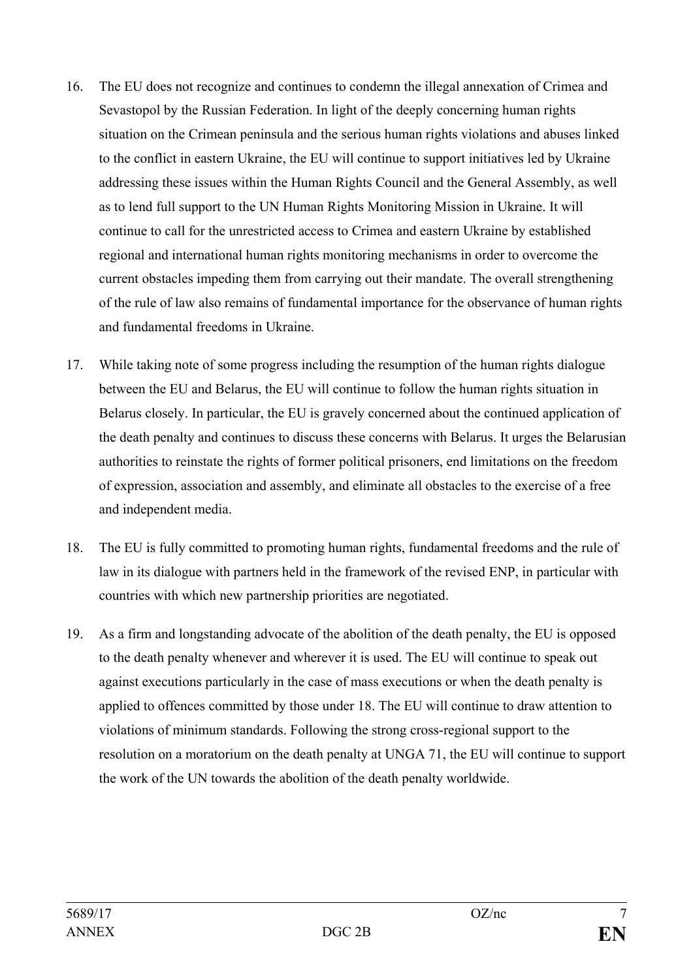- 16. The EU does not recognize and continues to condemn the illegal annexation of Crimea and Sevastopol by the Russian Federation. In light of the deeply concerning human rights situation on the Crimean peninsula and the serious human rights violations and abuses linked to the conflict in eastern Ukraine, the EU will continue to support initiatives led by Ukraine addressing these issues within the Human Rights Council and the General Assembly, as well as to lend full support to the UN Human Rights Monitoring Mission in Ukraine. It will continue to call for the unrestricted access to Crimea and eastern Ukraine by established regional and international human rights monitoring mechanisms in order to overcome the current obstacles impeding them from carrying out their mandate. The overall strengthening of the rule of law also remains of fundamental importance for the observance of human rights and fundamental freedoms in Ukraine.
- 17. While taking note of some progress including the resumption of the human rights dialogue between the EU and Belarus, the EU will continue to follow the human rights situation in Belarus closely. In particular, the EU is gravely concerned about the continued application of the death penalty and continues to discuss these concerns with Belarus. It urges the Belarusian authorities to reinstate the rights of former political prisoners, end limitations on the freedom of expression, association and assembly, and eliminate all obstacles to the exercise of a free and independent media.
- 18. The EU is fully committed to promoting human rights, fundamental freedoms and the rule of law in its dialogue with partners held in the framework of the revised ENP, in particular with countries with which new partnership priorities are negotiated.
- 19. As a firm and longstanding advocate of the abolition of the death penalty, the EU is opposed to the death penalty whenever and wherever it is used. The EU will continue to speak out against executions particularly in the case of mass executions or when the death penalty is applied to offences committed by those under 18. The EU will continue to draw attention to violations of minimum standards. Following the strong cross-regional support to the resolution on a moratorium on the death penalty at UNGA 71, the EU will continue to support the work of the UN towards the abolition of the death penalty worldwide.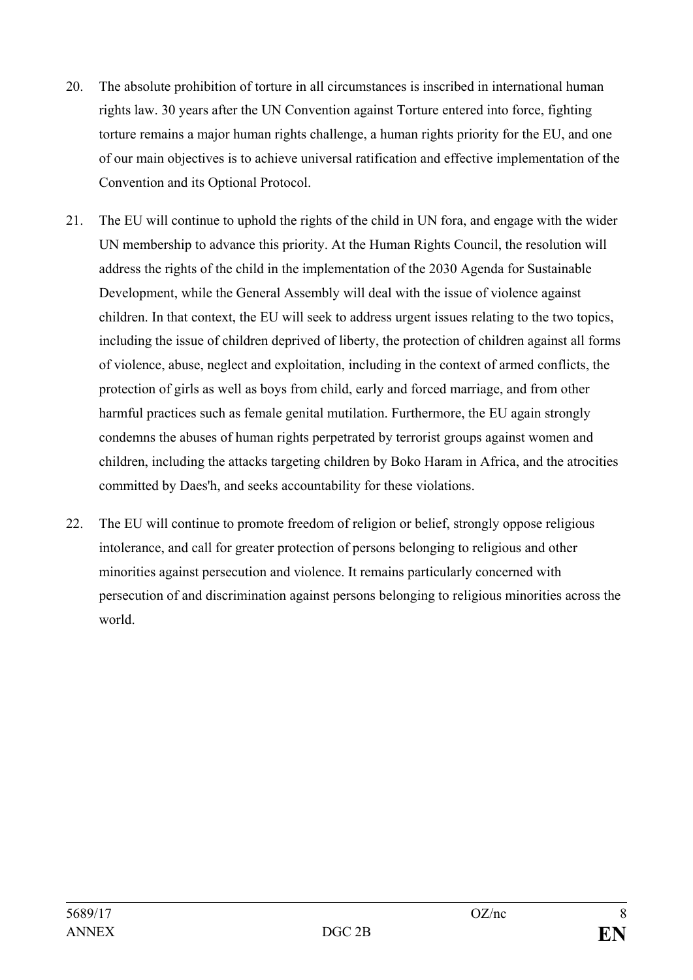- 20. The absolute prohibition of torture in all circumstances is inscribed in international human rights law. 30 years after the UN Convention against Torture entered into force, fighting torture remains a major human rights challenge, a human rights priority for the EU, and one of our main objectives is to achieve universal ratification and effective implementation of the Convention and its Optional Protocol.
- 21. The EU will continue to uphold the rights of the child in UN fora, and engage with the wider UN membership to advance this priority. At the Human Rights Council, the resolution will address the rights of the child in the implementation of the 2030 Agenda for Sustainable Development, while the General Assembly will deal with the issue of violence against children. In that context, the EU will seek to address urgent issues relating to the two topics, including the issue of children deprived of liberty, the protection of children against all forms of violence, abuse, neglect and exploitation, including in the context of armed conflicts, the protection of girls as well as boys from child, early and forced marriage, and from other harmful practices such as female genital mutilation. Furthermore, the EU again strongly condemns the abuses of human rights perpetrated by terrorist groups against women and children, including the attacks targeting children by Boko Haram in Africa, and the atrocities committed by Daes'h, and seeks accountability for these violations.
- 22. The EU will continue to promote freedom of religion or belief, strongly oppose religious intolerance, and call for greater protection of persons belonging to religious and other minorities against persecution and violence. It remains particularly concerned with persecution of and discrimination against persons belonging to religious minorities across the world.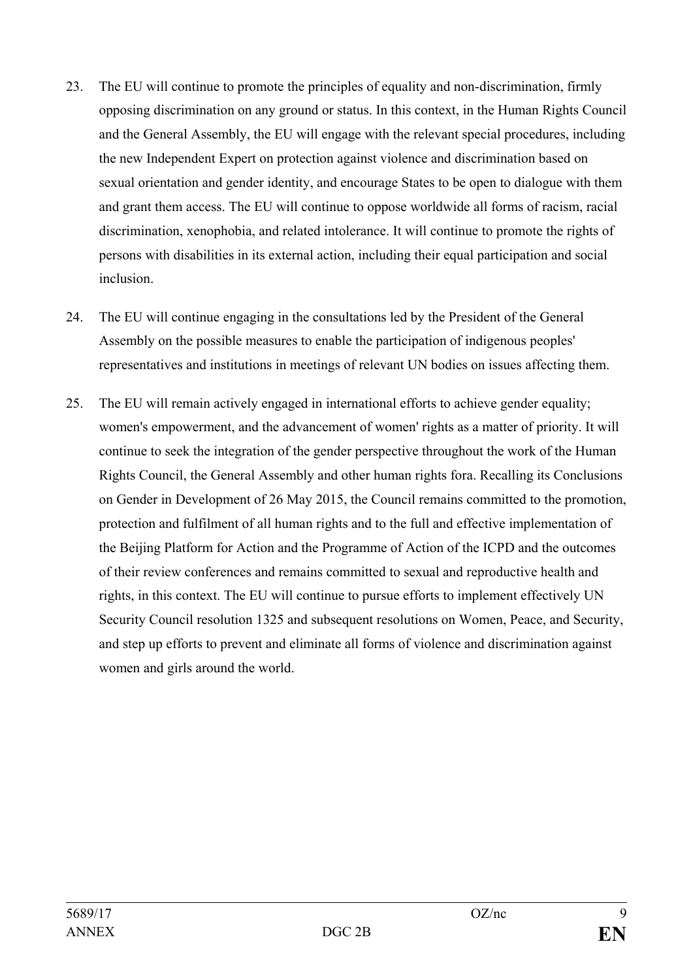- 23. The EU will continue to promote the principles of equality and non-discrimination, firmly opposing discrimination on any ground or status. In this context, in the Human Rights Council and the General Assembly, the EU will engage with the relevant special procedures, including the new Independent Expert on protection against violence and discrimination based on sexual orientation and gender identity, and encourage States to be open to dialogue with them and grant them access. The EU will continue to oppose worldwide all forms of racism, racial discrimination, xenophobia, and related intolerance. It will continue to promote the rights of persons with disabilities in its external action, including their equal participation and social inclusion.
- 24. The EU will continue engaging in the consultations led by the President of the General Assembly on the possible measures to enable the participation of indigenous peoples' representatives and institutions in meetings of relevant UN bodies on issues affecting them.
- 25. The EU will remain actively engaged in international efforts to achieve gender equality; women's empowerment, and the advancement of women' rights as a matter of priority. It will continue to seek the integration of the gender perspective throughout the work of the Human Rights Council, the General Assembly and other human rights fora. Recalling its Conclusions on Gender in Development of 26 May 2015, the Council remains committed to the promotion, protection and fulfilment of all human rights and to the full and effective implementation of the Beijing Platform for Action and the Programme of Action of the ICPD and the outcomes of their review conferences and remains committed to sexual and reproductive health and rights, in this context. The EU will continue to pursue efforts to implement effectively UN Security Council resolution 1325 and subsequent resolutions on Women, Peace, and Security, and step up efforts to prevent and eliminate all forms of violence and discrimination against women and girls around the world.